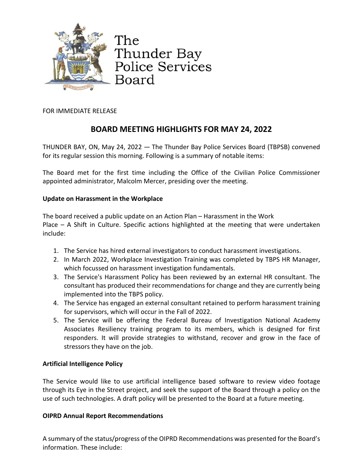

The Thunder Bay Police Services Board

FOR IMMEDIATE RELEASE

# **BOARD MEETING HIGHLIGHTS FOR MAY 24, 2022**

THUNDER BAY, ON, May 24, 2022 — The Thunder Bay Police Services Board (TBPSB) convened for its regular session this morning. Following is a summary of notable items:

The Board met for the first time including the Office of the Civilian Police Commissioner appointed administrator, Malcolm Mercer, presiding over the meeting.

## **Update on Harassment in the Workplace**

The board received a public update on an Action Plan – Harassment in the Work Place – A Shift in Culture. Specific actions highlighted at the meeting that were undertaken include:

- 1. The Service has hired external investigators to conduct harassment investigations.
- 2. In March 2022, Workplace Investigation Training was completed by TBPS HR Manager, which focussed on harassment investigation fundamentals.
- 3. The Service's Harassment Policy has been reviewed by an external HR consultant. The consultant has produced their recommendations for change and they are currently being implemented into the TBPS policy.
- 4. The Service has engaged an external consultant retained to perform harassment training for supervisors, which will occur in the Fall of 2022.
- 5. The Service will be offering the Federal Bureau of Investigation National Academy Associates Resiliency training program to its members, which is designed for first responders. It will provide strategies to withstand, recover and grow in the face of stressors they have on the job.

# **Artificial Intelligence Policy**

The Service would like to use artificial intelligence based software to review video footage through its Eye in the Street project, and seek the support of the Board through a policy on the use of such technologies. A draft policy will be presented to the Board at a future meeting.

# **OIPRD Annual Report Recommendations**

A summary of the status/progress of the OIPRD Recommendations was presented for the Board's information. These include: